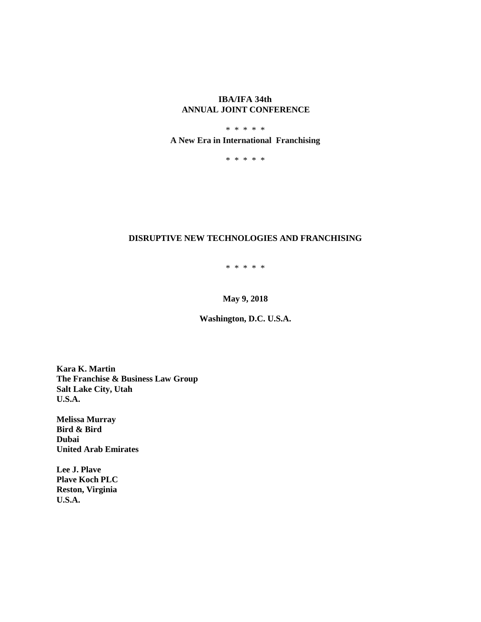# **IBA/IFA 34th ANNUAL JOINT CONFERENCE**

# \* \* \* \* \* **A New Era in International Franchising**

\* \* \* \* \*

# **DISRUPTIVE NEW TECHNOLOGIES AND FRANCHISING**

\* \* \* \* \*

**May 9, 2018**

**Washington, D.C. U.S.A.**

**Kara K. Martin The Franchise & Business Law Group Salt Lake City, Utah U.S.A.**

**Melissa Murray Bird & Bird Dubai United Arab Emirates**

**Lee J. Plave Plave Koch PLC Reston, Virginia U.S.A.**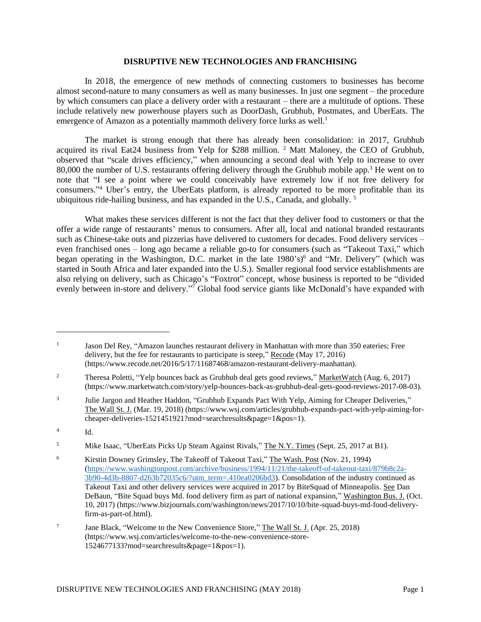### **DISRUPTIVE NEW TECHNOLOGIES AND FRANCHISING**

In 2018, the emergence of new methods of connecting customers to businesses has become almost second-nature to many consumers as well as many businesses. In just one segment – the procedure by which consumers can place a delivery order with a restaurant – there are a multitude of options. These include relatively new powerhouse players such as DoorDash, Grubhub, Postmates, and UberEats. The emergence of Amazon as a potentially mammoth delivery force lurks as well.<sup>1</sup>

The market is strong enough that there has already been consolidation: in 2017, Grubhub acquired its rival Eat24 business from Yelp for \$288 million. <sup>2</sup> Matt Maloney, the CEO of Grubhub, observed that "scale drives efficiency," when announcing a second deal with Yelp to increase to over 80,000 the number of U.S. restaurants offering delivery through the Grubhub mobile app.<sup>3</sup> He went on to note that "I see a point where we could conceivably have extremely low if not free delivery for consumers."<sup>4</sup> Uber's entry, the UberEats platform, is already reported to be more profitable than its ubiquitous ride-hailing business, and has expanded in the U.S., Canada, and globally. <sup>5</sup>

What makes these services different is not the fact that they deliver food to customers or that the offer a wide range of restaurants' menus to consumers. After all, local and national branded restaurants such as Chinese-take outs and pizzerias have delivered to customers for decades. Food delivery services – even franchised ones – long ago became a reliable go-to for consumers (such as "Takeout Taxi," which began operating in the Washington, D.C. market in the late 1980's)<sup>6</sup> and "Mr. Delivery" (which was started in South Africa and later expanded into the U.S.). Smaller regional food service establishments are also relying on delivery, such as Chicago's "Foxtrot" concept, whose business is reported to be "divided evenly between in-store and delivery."<sup>7</sup> Global food service giants like McDonald's have expanded with

 $\overline{a}$ 

<sup>1</sup> Jason Del Rey, "Amazon launches restaurant delivery in Manhattan with more than 350 eateries; Free delivery, but the fee for restaurants to participate is steep," Recode (May 17, 2016) (https://www.recode.net/2016/5/17/11687468/amazon-restaurant-delivery-manhattan).

<sup>&</sup>lt;sup>2</sup> Theresa Poletti, "Yelp bounces back as Grubhub deal gets good reviews," MarketWatch (Aug. 6, 2017) (https://www.marketwatch.com/story/yelp-bounces-back-as-grubhub-deal-gets-good-reviews-2017-08-03).

<sup>3</sup> Julie Jargon and Heather Haddon, "Grubhub Expands Pact With Yelp, Aiming for Cheaper Deliveries," The Wall St. J. (Mar. 19, 2018) (https://www.wsj.com/articles/grubhub-expands-pact-with-yelp-aiming-forcheaper-deliveries-1521451921?mod=searchresults&page=1&pos=1).

<sup>4</sup> Id.

<sup>&</sup>lt;sup>5</sup> Mike Isaac, "UberEats Picks Up Steam Against Rivals," The N.Y. Times (Sept. 25, 2017 at B1).

<sup>&</sup>lt;sup>6</sup> Kirstin Downey Grimsley, The Takeoff of Takeout Taxi," The Wash. Post (Nov. 21, 1994) [\(https://www.washingtonpost.com/archive/business/1994/11/21/the-takeoff-of-takeout-taxi/879b8c2a-](https://www.washingtonpost.com/archive/business/1994/11/21/the-takeoff-of-takeout-taxi/879b8c2a-3b90-4d3b-8807-d263b72035c6/?utm_term=.410ea0206bd3)[3b90-4d3b-8807-d263b72035c6/?utm\\_term=.410ea0206bd3\)](https://www.washingtonpost.com/archive/business/1994/11/21/the-takeoff-of-takeout-taxi/879b8c2a-3b90-4d3b-8807-d263b72035c6/?utm_term=.410ea0206bd3). Consolidation of the industry continued as Takeout Taxi and other delivery services were acquired in 2017 by BiteSquad of Minneapolis. See Dan DeBaun, "Bite Squad buys Md. food delivery firm as part of national expansion," Washington Bus. J. (Oct. 10, 2017) (https://www.bizjournals.com/washington/news/2017/10/10/bite-squad-buys-md-food-deliveryfirm-as-part-of.html).

<sup>7</sup> Jane Black, "Welcome to the New Convenience Store," The Wall St. J. (Apr. 25, 2018) (https://www.wsj.com/articles/welcome-to-the-new-convenience-store-1524677133?mod=searchresults&page=1&pos=1).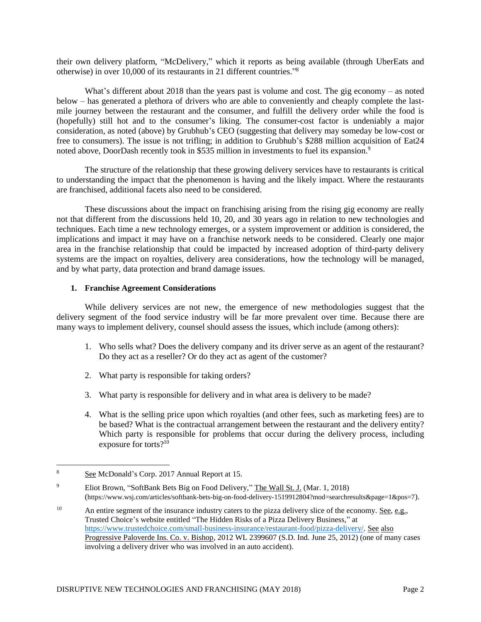their own delivery platform, "McDelivery," which it reports as being available (through UberEats and otherwise) in over 10,000 of its restaurants in 21 different countries." 8

What's different about 2018 than the years past is volume and cost. The gig economy  $-$  as noted below – has generated a plethora of drivers who are able to conveniently and cheaply complete the lastmile journey between the restaurant and the consumer, and fulfill the delivery order while the food is (hopefully) still hot and to the consumer's liking. The consumer-cost factor is undeniably a major consideration, as noted (above) by Grubhub's CEO (suggesting that delivery may someday be low-cost or free to consumers). The issue is not trifling; in addition to Grubhub's \$288 million acquisition of Eat24 noted above, DoorDash recently took in \$535 million in investments to fuel its expansion.<sup>9</sup>

The structure of the relationship that these growing delivery services have to restaurants is critical to understanding the impact that the phenomenon is having and the likely impact. Where the restaurants are franchised, additional facets also need to be considered.

These discussions about the impact on franchising arising from the rising gig economy are really not that different from the discussions held 10, 20, and 30 years ago in relation to new technologies and techniques. Each time a new technology emerges, or a system improvement or addition is considered, the implications and impact it may have on a franchise network needs to be considered. Clearly one major area in the franchise relationship that could be impacted by increased adoption of third-party delivery systems are the impact on royalties, delivery area considerations, how the technology will be managed, and by what party, data protection and brand damage issues.

## **1. Franchise Agreement Considerations**

While delivery services are not new, the emergence of new methodologies suggest that the delivery segment of the food service industry will be far more prevalent over time. Because there are many ways to implement delivery, counsel should assess the issues, which include (among others):

- 1. Who sells what? Does the delivery company and its driver serve as an agent of the restaurant? Do they act as a reseller? Or do they act as agent of the customer?
- 2. What party is responsible for taking orders?
- 3. What party is responsible for delivery and in what area is delivery to be made?
- 4. What is the selling price upon which royalties (and other fees, such as marketing fees) are to be based? What is the contractual arrangement between the restaurant and the delivery entity? Which party is responsible for problems that occur during the delivery process, including exposure for torts?<sup>10</sup>

 $\overline{a}$ 

<sup>8</sup> See McDonald's Corp. 2017 Annual Report at 15.

<sup>9</sup> Eliot Brown, "SoftBank Bets Big on Food Delivery," The Wall St. J. (Mar. 1, 2018) (https://www.wsj.com/articles/softbank-bets-big-on-food-delivery-1519912804?mod=searchresults&page=1&pos=7).

<sup>&</sup>lt;sup>10</sup> An entire segment of the insurance industry caters to the pizza delivery slice of the economy. See, e.g., Trusted Choice's website entitled "The Hidden Risks of a Pizza Delivery Business," at [https://www.trustedchoice.com/small-business-insurance/restaurant-food/pizza-delivery/.](https://www.trustedchoice.com/small-business-insurance/restaurant-food/pizza-delivery/) See also Progressive Paloverde Ins. Co. v. Bishop, 2012 WL 2399607 (S.D. Ind. June 25, 2012) (one of many cases involving a delivery driver who was involved in an auto accident).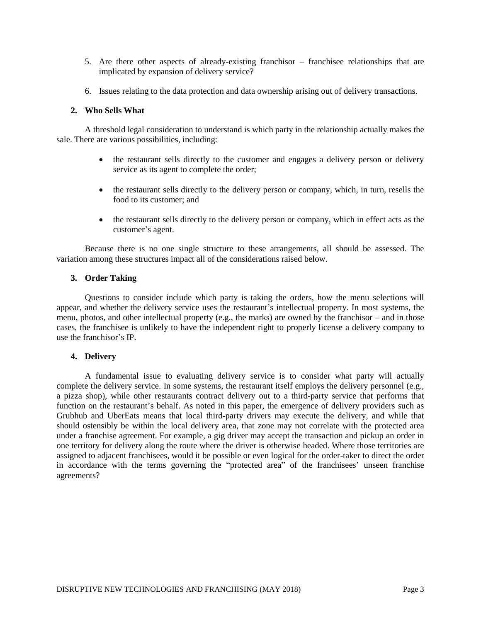- 5. Are there other aspects of already-existing franchisor franchisee relationships that are implicated by expansion of delivery service?
- 6. Issues relating to the data protection and data ownership arising out of delivery transactions.

## **2. Who Sells What**

A threshold legal consideration to understand is which party in the relationship actually makes the sale. There are various possibilities, including:

- the restaurant sells directly to the customer and engages a delivery person or delivery service as its agent to complete the order;
- the restaurant sells directly to the delivery person or company, which, in turn, resells the food to its customer; and
- the restaurant sells directly to the delivery person or company, which in effect acts as the customer's agent.

Because there is no one single structure to these arrangements, all should be assessed. The variation among these structures impact all of the considerations raised below.

## **3. Order Taking**

Questions to consider include which party is taking the orders, how the menu selections will appear, and whether the delivery service uses the restaurant's intellectual property. In most systems, the menu, photos, and other intellectual property (e.g., the marks) are owned by the franchisor – and in those cases, the franchisee is unlikely to have the independent right to properly license a delivery company to use the franchisor's IP.

## **4. Delivery**

A fundamental issue to evaluating delivery service is to consider what party will actually complete the delivery service. In some systems, the restaurant itself employs the delivery personnel (e.g., a pizza shop), while other restaurants contract delivery out to a third-party service that performs that function on the restaurant's behalf. As noted in this paper, the emergence of delivery providers such as Grubhub and UberEats means that local third-party drivers may execute the delivery, and while that should ostensibly be within the local delivery area, that zone may not correlate with the protected area under a franchise agreement. For example, a gig driver may accept the transaction and pickup an order in one territory for delivery along the route where the driver is otherwise headed. Where those territories are assigned to adjacent franchisees, would it be possible or even logical for the order-taker to direct the order in accordance with the terms governing the "protected area" of the franchisees' unseen franchise agreements?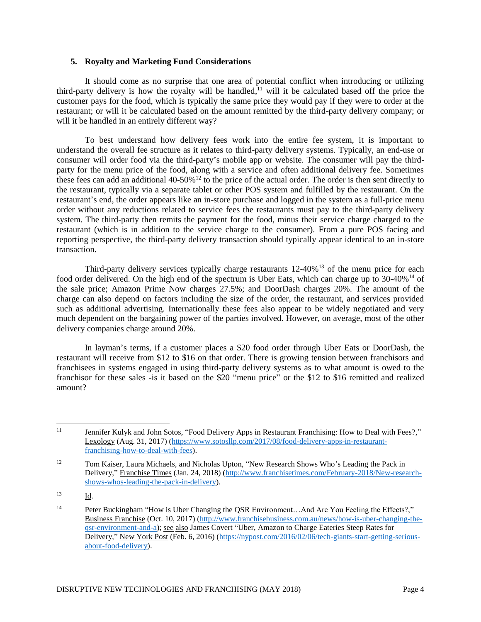## **5. Royalty and Marketing Fund Considerations**

It should come as no surprise that one area of potential conflict when introducing or utilizing third-party delivery is how the royalty will be handled,<sup> $11$ </sup> will it be calculated based off the price the customer pays for the food, which is typically the same price they would pay if they were to order at the restaurant; or will it be calculated based on the amount remitted by the third-party delivery company; or will it be handled in an entirely different way?

To best understand how delivery fees work into the entire fee system, it is important to understand the overall fee structure as it relates to third-party delivery systems. Typically, an end-use or consumer will order food via the third-party's mobile app or website. The consumer will pay the thirdparty for the menu price of the food, along with a service and often additional delivery fee. Sometimes these fees can add an additional  $40-50\%$ <sup>12</sup> to the price of the actual order. The order is then sent directly to the restaurant, typically via a separate tablet or other POS system and fulfilled by the restaurant. On the restaurant's end, the order appears like an in-store purchase and logged in the system as a full-price menu order without any reductions related to service fees the restaurants must pay to the third-party delivery system. The third-party then remits the payment for the food, minus their service charge charged to the restaurant (which is in addition to the service charge to the consumer). From a pure POS facing and reporting perspective, the third-party delivery transaction should typically appear identical to an in-store transaction.

Third-party delivery services typically charge restaurants  $12-40\%$ <sup>13</sup> of the menu price for each food order delivered. On the high end of the spectrum is Uber Eats, which can charge up to 30-40%<sup>14</sup> of the sale price; Amazon Prime Now charges 27.5%; and DoorDash charges 20%. The amount of the charge can also depend on factors including the size of the order, the restaurant, and services provided such as additional advertising. Internationally these fees also appear to be widely negotiated and very much dependent on the bargaining power of the parties involved. However, on average, most of the other delivery companies charge around 20%.

In layman's terms, if a customer places a \$20 food order through Uber Eats or DoorDash, the restaurant will receive from \$12 to \$16 on that order. There is growing tension between franchisors and franchisees in systems engaged in using third-party delivery systems as to what amount is owed to the franchisor for these sales -is it based on the \$20 "menu price" or the \$12 to \$16 remitted and realized amount?

 $\overline{a}$ 

<sup>&</sup>lt;sup>11</sup> Jennifer Kulyk and John Sotos, "Food Delivery Apps in Restaurant Franchising: How to Deal with Fees?," Lexology (Aug. 31, 2017) [\(https://www.sotosllp.com/2017/08/food-delivery-apps-in-restaurant](https://www.sotosllp.com/2017/08/food-delivery-apps-in-restaurant-franchising-how-to-deal-with-fees)[franchising-how-to-deal-with-fees\)](https://www.sotosllp.com/2017/08/food-delivery-apps-in-restaurant-franchising-how-to-deal-with-fees).

<sup>&</sup>lt;sup>12</sup> Tom Kaiser, Laura Michaels, and Nicholas Upton, "New Research Shows Who's Leading the Pack in Delivery," Franchise Times (Jan. 24, 2018) [\(http://www.franchisetimes.com/February-2018/New-research](http://www.franchisetimes.com/February-2018/New-research-shows-whos-leading-the-pack-in-delivery)[shows-whos-leading-the-pack-in-delivery\)](http://www.franchisetimes.com/February-2018/New-research-shows-whos-leading-the-pack-in-delivery).

<sup>13</sup> Id.

<sup>&</sup>lt;sup>14</sup> Peter Buckingham "How is Uber Changing the QSR Environment...And Are You Feeling the Effects?," Business Franchise (Oct. 10, 2017) [\(http://www.franchisebusiness.com.au/news/how-is-uber-changing-the](http://www.franchisebusiness.com.au/news/how-is-uber-changing-the-qsr-environment-and-a)[qsr-environment-and-a\)](http://www.franchisebusiness.com.au/news/how-is-uber-changing-the-qsr-environment-and-a); see also James Covert "Uber, Amazon to Charge Eateries Steep Rates for Delivery," New York Post (Feb. 6, 2016) [\(https://nypost.com/2016/02/06/tech-giants-start-getting-serious](https://nypost.com/2016/02/06/tech-giants-start-getting-serious-about-food-delivery)[about-food-delivery\)](https://nypost.com/2016/02/06/tech-giants-start-getting-serious-about-food-delivery).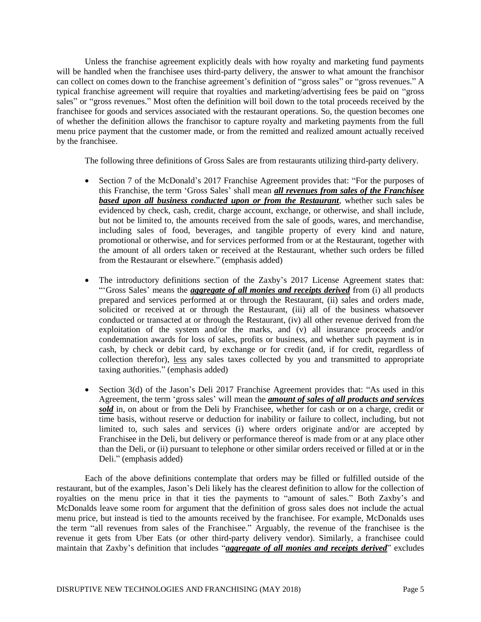Unless the franchise agreement explicitly deals with how royalty and marketing fund payments will be handled when the franchisee uses third-party delivery, the answer to what amount the franchisor can collect on comes down to the franchise agreement's definition of "gross sales" or "gross revenues." A typical franchise agreement will require that royalties and marketing/advertising fees be paid on "gross sales" or "gross revenues." Most often the definition will boil down to the total proceeds received by the franchisee for goods and services associated with the restaurant operations. So, the question becomes one of whether the definition allows the franchisor to capture royalty and marketing payments from the full menu price payment that the customer made, or from the remitted and realized amount actually received by the franchisee.

The following three definitions of Gross Sales are from restaurants utilizing third-party delivery.

- Section 7 of the McDonald's 2017 Franchise Agreement provides that: "For the purposes of this Franchise, the term 'Gross Sales' shall mean *all revenues from sales of the Franchisee based upon all business conducted upon or from the Restaurant*, whether such sales be evidenced by check, cash, credit, charge account, exchange, or otherwise, and shall include, but not be limited to, the amounts received from the sale of goods, wares, and merchandise, including sales of food, beverages, and tangible property of every kind and nature, promotional or otherwise, and for services performed from or at the Restaurant, together with the amount of all orders taken or received at the Restaurant, whether such orders be filled from the Restaurant or elsewhere." (emphasis added)
- The introductory definitions section of the Zaxby's 2017 License Agreement states that: "'Gross Sales' means the *aggregate of all monies and receipts derived* from (i) all products prepared and services performed at or through the Restaurant, (ii) sales and orders made, solicited or received at or through the Restaurant, (iii) all of the business whatsoever conducted or transacted at or through the Restaurant, (iv) all other revenue derived from the exploitation of the system and/or the marks, and (v) all insurance proceeds and/or condemnation awards for loss of sales, profits or business, and whether such payment is in cash, by check or debit card, by exchange or for credit (and, if for credit, regardless of collection therefor), less any sales taxes collected by you and transmitted to appropriate taxing authorities." (emphasis added)
- Section 3(d) of the Jason's Deli 2017 Franchise Agreement provides that: "As used in this Agreement, the term 'gross sales' will mean the *amount of sales of all products and services sold* in, on about or from the Deli by Franchisee, whether for cash or on a charge, credit or time basis, without reserve or deduction for inability or failure to collect, including, but not limited to, such sales and services (i) where orders originate and/or are accepted by Franchisee in the Deli, but delivery or performance thereof is made from or at any place other than the Deli, or (ii) pursuant to telephone or other similar orders received or filled at or in the Deli." (emphasis added)

Each of the above definitions contemplate that orders may be filled or fulfilled outside of the restaurant, but of the examples, Jason's Deli likely has the clearest definition to allow for the collection of royalties on the menu price in that it ties the payments to "amount of sales." Both Zaxby's and McDonalds leave some room for argument that the definition of gross sales does not include the actual menu price, but instead is tied to the amounts received by the franchisee. For example, McDonalds uses the term "all revenues from sales of the Franchisee." Arguably, the revenue of the franchisee is the revenue it gets from Uber Eats (or other third-party delivery vendor). Similarly, a franchisee could maintain that Zaxby's definition that includes "*aggregate of all monies and receipts derived*" excludes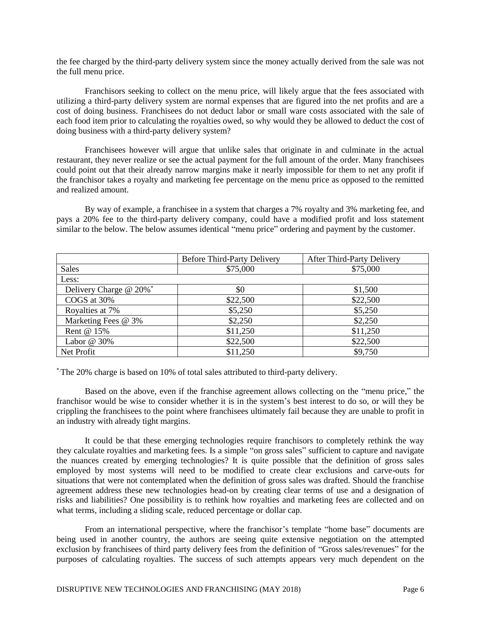the fee charged by the third-party delivery system since the money actually derived from the sale was not the full menu price.

Franchisors seeking to collect on the menu price, will likely argue that the fees associated with utilizing a third-party delivery system are normal expenses that are figured into the net profits and are a cost of doing business. Franchisees do not deduct labor or small ware costs associated with the sale of each food item prior to calculating the royalties owed, so why would they be allowed to deduct the cost of doing business with a third-party delivery system?

Franchisees however will argue that unlike sales that originate in and culminate in the actual restaurant, they never realize or see the actual payment for the full amount of the order. Many franchisees could point out that their already narrow margins make it nearly impossible for them to net any profit if the franchisor takes a royalty and marketing fee percentage on the menu price as opposed to the remitted and realized amount.

By way of example, a franchisee in a system that charges a 7% royalty and 3% marketing fee, and pays a 20% fee to the third-party delivery company, could have a modified profit and loss statement similar to the below. The below assumes identical "menu price" ordering and payment by the customer.

|                        | <b>Before Third-Party Delivery</b> | After Third-Party Delivery |
|------------------------|------------------------------------|----------------------------|
| <b>Sales</b>           | \$75,000                           | \$75,000                   |
| Less:                  |                                    |                            |
| Delivery Charge @ 20%* | \$0                                | \$1,500                    |
| COGS at 30%            | \$22,500                           | \$22,500                   |
| Royalties at 7%        | \$5,250                            | \$5,250                    |
| Marketing Fees @ 3%    | \$2,250                            | \$2,250                    |
| Rent @ 15%             | \$11,250                           | \$11,250                   |
| Labor $@30\%$          | \$22,500                           | \$22,500                   |
| Net Profit             | \$11,250                           | \$9,750                    |

\*.The 20% charge is based on 10% of total sales attributed to third-party delivery.

Based on the above, even if the franchise agreement allows collecting on the "menu price," the franchisor would be wise to consider whether it is in the system's best interest to do so, or will they be crippling the franchisees to the point where franchisees ultimately fail because they are unable to profit in an industry with already tight margins.

It could be that these emerging technologies require franchisors to completely rethink the way they calculate royalties and marketing fees. Is a simple "on gross sales" sufficient to capture and navigate the nuances created by emerging technologies? It is quite possible that the definition of gross sales employed by most systems will need to be modified to create clear exclusions and carve-outs for situations that were not contemplated when the definition of gross sales was drafted. Should the franchise agreement address these new technologies head-on by creating clear terms of use and a designation of risks and liabilities? One possibility is to rethink how royalties and marketing fees are collected and on what terms, including a sliding scale, reduced percentage or dollar cap.

From an international perspective, where the franchisor's template "home base" documents are being used in another country, the authors are seeing quite extensive negotiation on the attempted exclusion by franchisees of third party delivery fees from the definition of "Gross sales/revenues" for the purposes of calculating royalties. The success of such attempts appears very much dependent on the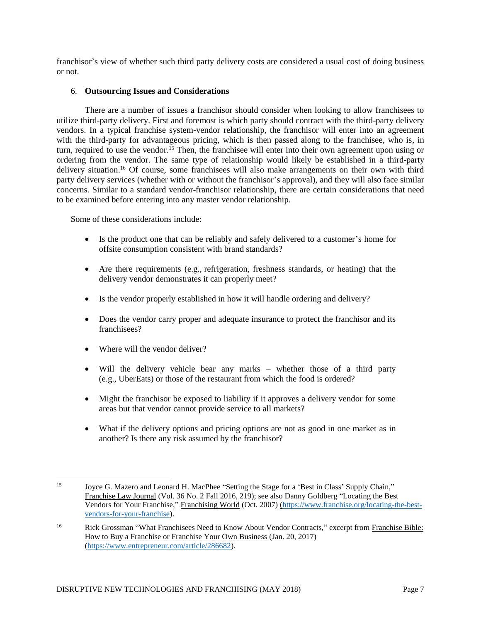franchisor's view of whether such third party delivery costs are considered a usual cost of doing business or not.

## 6. **Outsourcing Issues and Considerations**

There are a number of issues a franchisor should consider when looking to allow franchisees to utilize third-party delivery. First and foremost is which party should contract with the third-party delivery vendors. In a typical franchise system-vendor relationship, the franchisor will enter into an agreement with the third-party for advantageous pricing, which is then passed along to the franchisee, who is, in turn, required to use the vendor.<sup>15</sup> Then, the franchisee will enter into their own agreement upon using or ordering from the vendor. The same type of relationship would likely be established in a third-party delivery situation.<sup>16</sup> Of course, some franchisees will also make arrangements on their own with third party delivery services (whether with or without the franchisor's approval), and they will also face similar concerns. Similar to a standard vendor-franchisor relationship, there are certain considerations that need to be examined before entering into any master vendor relationship.

Some of these considerations include:

- Is the product one that can be reliably and safely delivered to a customer's home for offsite consumption consistent with brand standards?
- Are there requirements (e.g., refrigeration, freshness standards, or heating) that the delivery vendor demonstrates it can properly meet?
- Is the vendor properly established in how it will handle ordering and delivery?
- Does the vendor carry proper and adequate insurance to protect the franchisor and its franchisees?
- Where will the vendor deliver?
- Will the delivery vehicle bear any marks whether those of a third party (e.g., UberEats) or those of the restaurant from which the food is ordered?
- Might the franchisor be exposed to liability if it approves a delivery vendor for some areas but that vendor cannot provide service to all markets?
- What if the delivery options and pricing options are not as good in one market as in another? Is there any risk assumed by the franchisor?

<sup>15</sup> <sup>15</sup> Joyce G. Mazero and Leonard H. MacPhee "Setting the Stage for a 'Best in Class' Supply Chain," Franchise Law Journal (Vol. 36 No. 2 Fall 2016, 219); see also Danny Goldberg "Locating the Best Vendors for Your Franchise," Franchising World (Oct. 2007) [\(https://www.franchise.org/locating-the-best](https://www.franchise.org/locating-the-best-vendors-for-your-franchise)[vendors-for-your-franchise\)](https://www.franchise.org/locating-the-best-vendors-for-your-franchise).

<sup>&</sup>lt;sup>16</sup> Rick Grossman "What Franchisees Need to Know About Vendor Contracts," excerpt from Franchise Bible: How to Buy a Franchise or Franchise Your Own Business (Jan. 20, 2017) [\(https://www.entrepreneur.com/article/286682\)](https://www.entrepreneur.com/article/286682).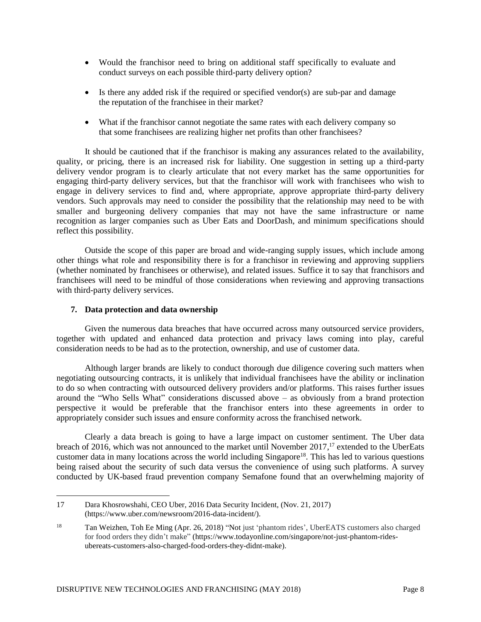- Would the franchisor need to bring on additional staff specifically to evaluate and conduct surveys on each possible third-party delivery option?
- Is there any added risk if the required or specified vendor(s) are sub-par and damage the reputation of the franchisee in their market?
- What if the franchisor cannot negotiate the same rates with each delivery company so that some franchisees are realizing higher net profits than other franchisees?

It should be cautioned that if the franchisor is making any assurances related to the availability, quality, or pricing, there is an increased risk for liability. One suggestion in setting up a third-party delivery vendor program is to clearly articulate that not every market has the same opportunities for engaging third-party delivery services, but that the franchisor will work with franchisees who wish to engage in delivery services to find and, where appropriate, approve appropriate third-party delivery vendors. Such approvals may need to consider the possibility that the relationship may need to be with smaller and burgeoning delivery companies that may not have the same infrastructure or name recognition as larger companies such as Uber Eats and DoorDash, and minimum specifications should reflect this possibility.

Outside the scope of this paper are broad and wide-ranging supply issues, which include among other things what role and responsibility there is for a franchisor in reviewing and approving suppliers (whether nominated by franchisees or otherwise), and related issues. Suffice it to say that franchisors and franchisees will need to be mindful of those considerations when reviewing and approving transactions with third-party delivery services.

## **7. Data protection and data ownership**

 $\overline{a}$ 

Given the numerous data breaches that have occurred across many outsourced service providers, together with updated and enhanced data protection and privacy laws coming into play, careful consideration needs to be had as to the protection, ownership, and use of customer data.

Although larger brands are likely to conduct thorough due diligence covering such matters when negotiating outsourcing contracts, it is unlikely that individual franchisees have the ability or inclination to do so when contracting with outsourced delivery providers and/or platforms. This raises further issues around the "Who Sells What" considerations discussed above – as obviously from a brand protection perspective it would be preferable that the franchisor enters into these agreements in order to appropriately consider such issues and ensure conformity across the franchised network.

Clearly a data breach is going to have a large impact on customer sentiment. The Uber data breach of 2016, which was not announced to the market until November 2017,<sup>17</sup> extended to the UberEats customer data in many locations across the world including Singapore<sup>18</sup>. This has led to various questions being raised about the security of such data versus the convenience of using such platforms. A survey conducted by UK-based fraud prevention company Semafone found that an overwhelming majority of

<sup>17</sup> Dara Khosrowshahi, CEO Uber, 2016 Data Security Incident, (Nov. 21, 2017) (https://www.uber.com/newsroom/2016-data-incident/).

<sup>18</sup> Tan Weizhen, Toh Ee Ming (Apr. 26, 2018) "Not just 'phantom rides', UberEATS customers also charged for food orders they didn't make" (https://www.todayonline.com/singapore/not-just-phantom-ridesubereats-customers-also-charged-food-orders-they-didnt-make).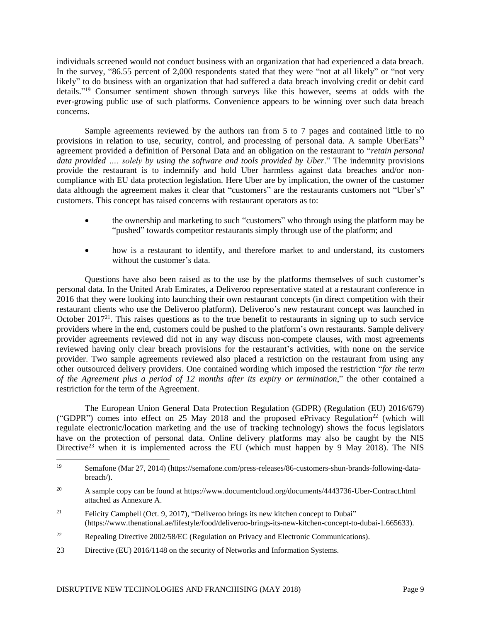individuals screened would not conduct business with an organization that had experienced a data breach. In the survey, "86.55 percent of 2,000 respondents stated that they were "not at all likely" or "not very likely" to do business with an organization that had suffered a data breach involving credit or debit card details."<sup>19</sup> Consumer sentiment shown through surveys like this however, seems at odds with the ever-growing public use of such platforms. Convenience appears to be winning over such data breach concerns.

Sample agreements reviewed by the authors ran from 5 to 7 pages and contained little to no provisions in relation to use, security, control, and processing of personal data. A sample UberEats<sup>20</sup> agreement provided a definition of Personal Data and an obligation on the restaurant to "*retain personal data provided …. solely by using the software and tools provided by Uber*." The indemnity provisions provide the restaurant is to indemnify and hold Uber harmless against data breaches and/or noncompliance with EU data protection legislation. Here Uber are by implication, the owner of the customer data although the agreement makes it clear that "customers" are the restaurants customers not "Uber's" customers. This concept has raised concerns with restaurant operators as to:

- the ownership and marketing to such "customers" who through using the platform may be "pushed" towards competitor restaurants simply through use of the platform; and
- how is a restaurant to identify, and therefore market to and understand, its customers without the customer's data.

Questions have also been raised as to the use by the platforms themselves of such customer's personal data. In the United Arab Emirates, a Deliveroo representative stated at a restaurant conference in 2016 that they were looking into launching their own restaurant concepts (in direct competition with their restaurant clients who use the Deliveroo platform). Deliveroo's new restaurant concept was launched in October 2017<sup>21</sup>. This raises questions as to the true benefit to restaurants in signing up to such service providers where in the end, customers could be pushed to the platform's own restaurants. Sample delivery provider agreements reviewed did not in any way discuss non-compete clauses, with most agreements reviewed having only clear breach provisions for the restaurant's activities, with none on the service provider. Two sample agreements reviewed also placed a restriction on the restaurant from using any other outsourced delivery providers. One contained wording which imposed the restriction "*for the term of the Agreement plus a period of 12 months after its expiry or termination*," the other contained a restriction for the term of the Agreement.

The European Union General Data Protection Regulation (GDPR) (Regulation (EU) 2016/679) ("GDPR") comes into effect on 25 May 2018 and the proposed ePrivacy Regulation<sup>22</sup> (which will regulate electronic/location marketing and the use of tracking technology) shows the focus legislators have on the protection of personal data. Online delivery platforms may also be caught by the NIS Directive<sup>23</sup> when it is implemented across the EU (which must happen by 9 May 2018). The NIS

- <sup>21</sup> Felicity Campbell (Oct. 9, 2017), "Deliveroo brings its new kitchen concept to Dubai" (https://www.thenational.ae/lifestyle/food/deliveroo-brings-its-new-kitchen-concept-to-dubai-1.665633).
- <sup>22</sup> Repealing Directive 2002/58/EC (Regulation on Privacy and Electronic Communications).
- 23 Directive (EU) 2016/1148 on the security of Networks and Information Systems.

 $\overline{a}$ 

<sup>19</sup> Semafone (Mar 27, 2014) (https://semafone.com/press-releases/86-customers-shun-brands-following-databreach/).

<sup>20</sup> A sample copy can be found at https://www.documentcloud.org/documents/4443736-Uber-Contract.html attached as Annexure A.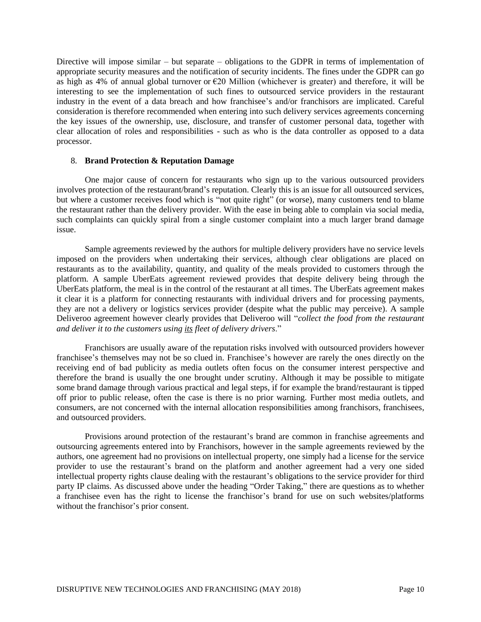Directive will impose similar – but separate – obligations to the GDPR in terms of implementation of appropriate security measures and the notification of security incidents. The fines under the GDPR can go as high as 4% of annual global turnover or  $E20$  Million (whichever is greater) and therefore, it will be interesting to see the implementation of such fines to outsourced service providers in the restaurant industry in the event of a data breach and how franchisee's and/or franchisors are implicated. Careful consideration is therefore recommended when entering into such delivery services agreements concerning the key issues of the ownership, use, disclosure, and transfer of customer personal data, together with clear allocation of roles and responsibilities - such as who is the data controller as opposed to a data processor.

## 8. **Brand Protection & Reputation Damage**

One major cause of concern for restaurants who sign up to the various outsourced providers involves protection of the restaurant/brand's reputation. Clearly this is an issue for all outsourced services, but where a customer receives food which is "not quite right" (or worse), many customers tend to blame the restaurant rather than the delivery provider. With the ease in being able to complain via social media, such complaints can quickly spiral from a single customer complaint into a much larger brand damage issue.

Sample agreements reviewed by the authors for multiple delivery providers have no service levels imposed on the providers when undertaking their services, although clear obligations are placed on restaurants as to the availability, quantity, and quality of the meals provided to customers through the platform. A sample UberEats agreement reviewed provides that despite delivery being through the UberEats platform, the meal is in the control of the restaurant at all times. The UberEats agreement makes it clear it is a platform for connecting restaurants with individual drivers and for processing payments, they are not a delivery or logistics services provider (despite what the public may perceive). A sample Deliveroo agreement however clearly provides that Deliveroo will "*collect the food from the restaurant and deliver it to the customers using its fleet of delivery drivers*."

Franchisors are usually aware of the reputation risks involved with outsourced providers however franchisee's themselves may not be so clued in. Franchisee's however are rarely the ones directly on the receiving end of bad publicity as media outlets often focus on the consumer interest perspective and therefore the brand is usually the one brought under scrutiny. Although it may be possible to mitigate some brand damage through various practical and legal steps, if for example the brand/restaurant is tipped off prior to public release, often the case is there is no prior warning. Further most media outlets, and consumers, are not concerned with the internal allocation responsibilities among franchisors, franchisees, and outsourced providers.

Provisions around protection of the restaurant's brand are common in franchise agreements and outsourcing agreements entered into by Franchisors, however in the sample agreements reviewed by the authors, one agreement had no provisions on intellectual property, one simply had a license for the service provider to use the restaurant's brand on the platform and another agreement had a very one sided intellectual property rights clause dealing with the restaurant's obligations to the service provider for third party IP claims. As discussed above under the heading "Order Taking," there are questions as to whether a franchisee even has the right to license the franchisor's brand for use on such websites/platforms without the franchisor's prior consent.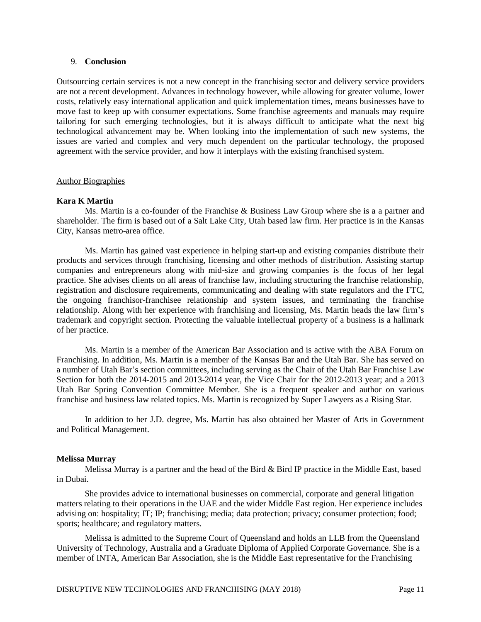## 9. **Conclusion**

Outsourcing certain services is not a new concept in the franchising sector and delivery service providers are not a recent development. Advances in technology however, while allowing for greater volume, lower costs, relatively easy international application and quick implementation times, means businesses have to move fast to keep up with consumer expectations. Some franchise agreements and manuals may require tailoring for such emerging technologies, but it is always difficult to anticipate what the next big technological advancement may be. When looking into the implementation of such new systems, the issues are varied and complex and very much dependent on the particular technology, the proposed agreement with the service provider, and how it interplays with the existing franchised system.

## Author Biographies

## **Kara K Martin**

Ms. Martin is a co-founder of the Franchise & Business Law Group where she is a a partner and shareholder. The firm is based out of a Salt Lake City, Utah based law firm. Her practice is in the Kansas City, Kansas metro-area office.

Ms. Martin has gained vast experience in helping start-up and existing companies distribute their products and services through franchising, licensing and other methods of distribution. Assisting startup companies and entrepreneurs along with mid-size and growing companies is the focus of her legal practice. She advises clients on all areas of franchise law, including structuring the franchise relationship, registration and disclosure requirements, communicating and dealing with state regulators and the FTC, the ongoing franchisor-franchisee relationship and system issues, and terminating the franchise relationship. Along with her experience with franchising and licensing, Ms. Martin heads the law firm's trademark and copyright section. Protecting the valuable intellectual property of a business is a hallmark of her practice.

Ms. Martin is a member of the American Bar Association and is active with the ABA Forum on Franchising. In addition, Ms. Martin is a member of the Kansas Bar and the Utah Bar. She has served on a number of Utah Bar's section committees, including serving as the Chair of the Utah Bar Franchise Law Section for both the 2014-2015 and 2013-2014 year, the Vice Chair for the 2012-2013 year; and a 2013 Utah Bar Spring Convention Committee Member. She is a frequent speaker and author on various franchise and business law related topics. Ms. Martin is recognized by Super Lawyers as a Rising Star.

In addition to her J.D. degree, Ms. Martin has also obtained her Master of Arts in Government and Political Management.

## **Melissa Murray**

Melissa Murray is a partner and the head of the Bird & Bird IP practice in the Middle East, based in Dubai.

She provides advice to international businesses on commercial, corporate and general litigation matters relating to their operations in the UAE and the wider Middle East region. Her experience includes advising on: hospitality; IT; IP; franchising; media; data protection; privacy; consumer protection; food; sports; healthcare; and regulatory matters.

Melissa is admitted to the Supreme Court of Queensland and holds an LLB from the Queensland University of Technology, Australia and a Graduate Diploma of Applied Corporate Governance. She is a member of INTA, American Bar Association, she is the Middle East representative for the Franchising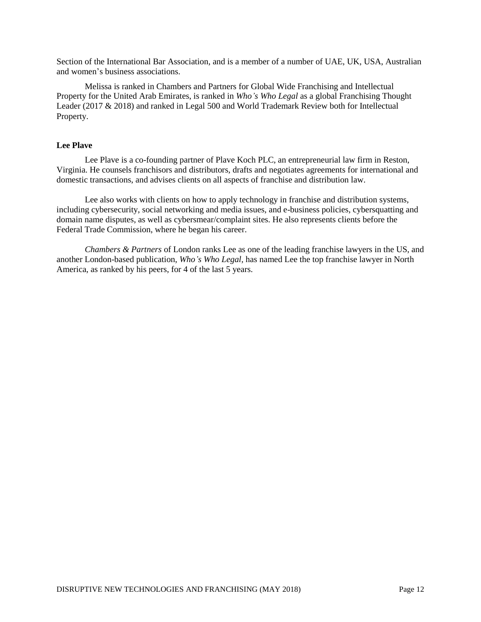Section of the International Bar Association, and is a member of a number of UAE, UK, USA, Australian and women's business associations.

Melissa is ranked in Chambers and Partners for Global Wide Franchising and Intellectual Property for the United Arab Emirates, is ranked in *Who's Who Legal* as a global Franchising Thought Leader (2017 & 2018) and ranked in Legal 500 and World Trademark Review both for Intellectual Property.

### **Lee Plave**

Lee Plave is a co-founding partner of Plave Koch PLC, an entrepreneurial law firm in Reston, Virginia. He counsels franchisors and distributors, drafts and negotiates agreements for international and domestic transactions, and advises clients on all aspects of franchise and distribution law.

Lee also works with clients on how to apply technology in franchise and distribution systems, including cybersecurity, social networking and media issues, and e-business policies, cybersquatting and domain name disputes, as well as cybersmear/complaint sites. He also represents clients before the Federal Trade Commission, where he began his career.

*Chambers & Partners* of London ranks Lee as one of the leading franchise lawyers in the US, and another London-based publication, *Who's Who Legal,* has named Lee the top franchise lawyer in North America, as ranked by his peers, for 4 of the last 5 years.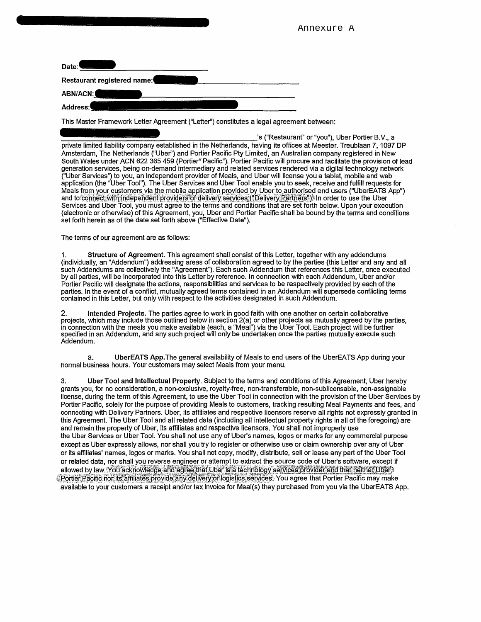| Date:                       |  |
|-----------------------------|--|
| Restaurant registered name: |  |
| ABN/ACN:                    |  |
| <br>Address:                |  |

This Master Framework Letter Agreement ("Letter") constitutes a legal agreement between:

's ("Restaurant" or "you"), Uber Portier B.V., a private limited liability company established in the Netherlands, having its offices at Meester. Treublaan 7,1097 DP Amsterdam, The Netherlands ("Uber") and Portier Pacific Pty Limited, an Australian company registered in New South Wales under ACN 622 365 459 (Portier" Pacific"). Portier Pacific will procure and facilitate the provision of lead generation services, being on-demand intermediary and related services rendered via a digital technology network ("Uber Services") to you, an independent provider of Meals, and Uber will license you a tablet, mobile and web application (the "Uber Tool"). The Uber Services and Uber Tool enable you to seek, receive and fulfill requests for Meals from your customers via the mobile application provided by Uber to authorised end users ("UberEATS App") and to connect with independent providers^of delivery services'("Delivery Partners")) In order to use the Uber Services and Uber Tool, you must agree to the terms and conditions that ire set forth below. Upon your execution (electronic or otherwise) of this Agreement, you, Uber and Portier Pacific shall be bound by the terms and conditions set forth herein as of the date set forth above ("Effective Date").

Annexure A

The terms of our agreement are as follows:

**1. Structure of Agreement.** This agreement shall consist of this Letter, together with any addendums (individually, an "Addendum") addressing areas of collaboration agreed to by the parties (this Letter and any and all such Addendums are collectively the "Agreement"). Each such Addendum that references this Letter, once executed by all parties, will be incorporated into this Letter by reference. In connection with each Addendum, Uber and/or Portier Pacific will designate the actions, responsibilities and services to be respectively provided by each of the parties. In the event of a conflict, mutually agreed terms contained in an Addendum will supersede conflicting terms contained in this Letter, but only with respect to the activities designated in such Addendum.

**2. Intended Projects.** The parties agree to work in good faith with one another on certain collaborative projects, which may include those outlined below in section 2(a) or other projects as mutually agreed by the parties, in connection with the meals you make available (each, a "Meal") via the Uber Tool. Each project will be further specified in an Addendum, and any such project will only be undertaken once the parties mutually execute such Addendum.

a. **UberEATS App**.The general availability of Meals to end users of the UberEATS App during your normal business hours. Your customers may select Meals from your menu.

3. **Uber Tool and Intellectual Property.** Subject to the terms and conditions of this Agreement, Uber hereby grants you, for no consideration, a non-exclusive, royalty-free, non-transferable, non-sublicensable, non-assignable license, during the term of this Agreement, to use the Uber Tool in connection with the provision of the Uber Services by Portier Pacific, solely for the purpose of providing Meals to customers, tracking resulting Meal Payments and fees, and connecting with Delivery Partners. Uber, its affiliates and respective licensors reserve all rights not expressly granted in this Agreement. The Uber Tool and all related data (including all intellectual property rights in all of the foregoing) are and remain the property of Uber, its affiliates and respective licensors. You shall not improperly use the Uber Services or Uber Tool. You shall not use any of Uber's names, logos or marks for any commercial purpose except as Uber expressly allows, nor shall you try to register or otherwise use or claim ownership over any of Uber or its affiliates' names, logos or marks. You shall not copy, modify, distribute, sell or lease any part of the Uber Tool or related data, nor shall you reverse engineer or attempt to extract the source code of Uber's software, except if allowed by law. You acknowledge and agree that Uber is a technology services provider and that heither Uber.) Portier-Pacific nor its affiliates provide any delivery or logistics services. You agree that Portier Pacific may make available to your customers a receipt and/or tax invoice for Meal(s) they purchased from you via the UberEATS App.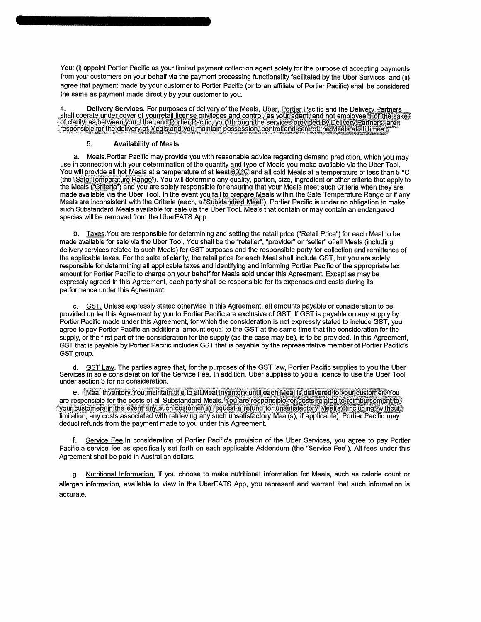You: (i) appoint Portier Pacific as your limited payment collection agent solely for the purpose of accepting payments from your customers on your behalf via the payment processing functionality facilitated by the Uber Services; and (ii) agree that payment made by your customer to Portier Pacific (or to an affiliate of Portier Pacific) shall be considered the same as payment made directly by your customer to you.

4. Delivery Services. For purposes of delivery of the Meals, Uber, Portier Pacific and the Delivery Partners , shall operate under cover of yourretail license privileges and control, as your agent, and not employee. For the sake of clarity, as between you, Uber and Portier Pacific, you, through the services provided by Delivery Partners, area<br>, responsible for the delivery of Meals and you maintain possession, control and care of the Meals at all

#### **5. Availability of Meals.**

a. Meals .Portier Pacific may provide you with reasonable advice regarding demand prediction, which you may use in connection with your determination of the quantity and type of Meals you make available via the Uber Tool. You will provide all hot Meals at a temperature of at least  $60.2$ C and all cold Meals at a temperature of less than 5 °C (the "Safe Temperature Range"). You will determine any quality, portion, size, ingredient or other criteria that apply to the Meals ("Criterla") and you are solely responsible for ensuring that your Meals meet such Criteria when they are made available via the Uber Tool. In the event you fail to prepare Meals within the Safe Temperature Range or if any Meals are inconsistent with the Criteria (each, a "Substandard Meal"), Portier Pacific is under no obligation to make such Substandard Meals available for sale via the Uber Tool. Meals that contain or may contain an endangered species will be removed from the UberEATS App.

b. Taxes. You are responsible for determining and setting the retail price ("Retail Price") for each Meal to be made available for sale via the Uber Tool. You shall be the "retailer", "provider" or "seller" of all Meals (including delivery services related to such Meals) for GST purposes and the responsible party for collection and remittance of the applicable taxes. For the sake of clarity, the retail price for each Meal shall include GST, but you are solely responsible for determining all applicable taxes and identifying and informing Portier Pacific of the appropriate tax amount for Portier Pacific to charge on your behalf for Meals sold under this Agreement. Except as may be expressly agreed in this Agreement, each party shall be responsible for its expenses and costs during its performance under this Agreement.

c. GST. Unless expressly stated otherwise in this Agreement, all amounts payable or consideration to be provided under this Agreement by you to Portier Pacific are exclusive of GST. If GST is payable on any supply by Portier Pacific made under this Agreement, for which the consideration is not expressly stated to include GST, you agree to pay Portier Pacific an additional amount equal to the GST at the same time that the consideration for the supply, or the first part of the consideration for the supply (as the case may be), is to be provided. In this Agreement, GST that is payable by Portier Pacific includes GST that is payable by the representative member of Portier Pacific's GST group.

d. GST Law. The parties agree that, for the purposes of the GST law, Portier Pacific supplies to you the Uber Services in sole consideration for the Service Fee. In addition, Uber supplies to you a licence to use the Uber Tool under section 3 for no consideration.

e. Meal Inventory. You maintain title to all Meal inventory until each Meal is delivered to your customer; You are responsible for the costs of all Substandard Meals. You are responsible for costs rela your customers in the event any such customer(s) request a refund for unsatisfactory Meal(s) (including, without limitation, any costs associated with retrieving any such unsatisfactory Meal(s), if applicable)? Portier Pacific may deduct refunds from the payment made to you under this Agreement.

f. Service Fee. In consideration of Portier Pacific's provision of the Uber Services, you agree to pay Portier Pacific a service fee as specifically set forth on each applicable Addendum (the "Service Fee"). All fees under this Agreement shall be paid in Australian dollars.

g. Nutritional Information. If you choose to make nutritional information for Meals, such as calorie count or allergen information, available to view in the UberEATS App, you represent and warrant that such information is accurate.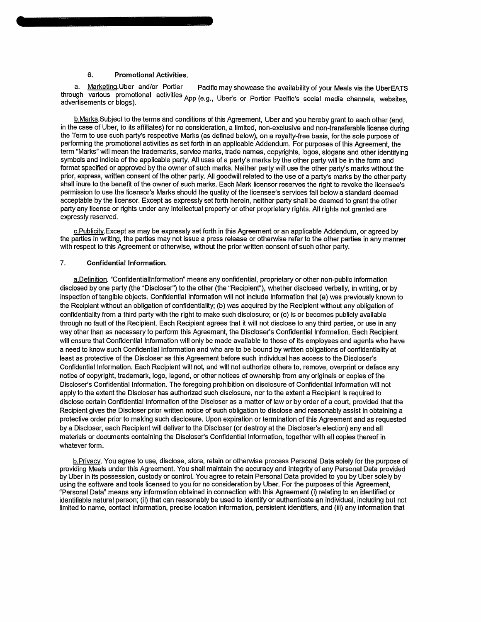### **6. Promotional Activities.**

Marketing. Uber and/or Portier Pacific may showcase the availability of your Meals via the UberEATS through various promotional activities App (e.g., Uber's or Portier Pacific's social media channels, websites,<br>advertisements or blogs)

b.Marks.Subiect to the terms and conditions of this Agreement, Uber and you hereby grant to each other (and, in the case of Uber, to its affiliates) for no consideration, a limited, non-exclusive and non-transferable license during the Term to use such party's respective Marks (as defined below), on a royalty-free basis, for the sole purpose of performing the promotional activities as set forth in an applicable Addendum. For purposes of this Agreement, the term "Marks" will mean the trademarks, service marks, trade names, copyrights, logos, slogans and other identifying symbols and indicia of the applicable party. All uses of a party's marks by the other party will be in the form and format specified or approved by the owner of such marks. Neither party will use the other party's marks without the prior, express, written consent of the other party. All goodwill related to the use of a party's marks by the other party shall inure to the benefit of the owner of such marks. Each Mark licensor reserves the right to revoke the licensee's permission to use the licensor's Marks should the quality of the licensee's services fall below a standard deemed acceptable by the licensor. Except as expressly set forth herein, neither party shall be deemed to grant the other party any license or rights under any intellectual property or other proprietary rights. All rights not granted are expressly reserved.

c.Publicitv.Except as may be expressly set forth in this Agreement or an applicable Addendum, or agreed by the parties in writing, the parties may not issue a press release or otherwise refer to the other parties in any manner with respect to this Agreement or otherwise, without the prior written consent of such other party.

#### **7. Confidential Information.**

a.Definition. "Confidentiallnformation" means any confidential, proprietary or other non-public information disclosed by one party (the "Discloser") to the other (the "Recipient"), whether disclosed verbally, in writing, or by inspection of tangible objects. Confidential Information will not include information that (a) was previously known to the Recipient without an obligation of confidentiality; (b) was acquired by the Recipient without any obligation of confidentiality from a third party with the right to make such disclosure; or (c) is or becomes publicly available through no fault of the Recipient. Each Recipient agrees that it will not disclose to any third parties, or use in any way other than as necessary to perform this Agreement, the Discloser's Confidential Information. Each Recipient will ensure that Confidential Information will only be made available to those of its employees and agents who have a need to know such Confidential Information and who are to be bound by written obligations of confidentiality at least as protective of the Discloser as this Agreement before such individual has access to the Discloser's Confidential Information. Each Recipient will not, and will not authorize others to, remove, overprint or deface any notice of copyright, trademark, logo, legend, or other notices of ownership from any originals or copies of the Discloser's Confidential Information. The foregoing prohibition on disclosure of Confidential Information will not apply to the extent the Discloser has authorized such disclosure, nor to the extent a Recipient is required to disclose certain Confidential Information of the Discloser as a matter of law or by order of a court, provided that the Recipient gives the Discloser prior written notice of such obligation to disclose and reasonably assist in obtaining a protective order prior to making such disclosure. Upon expiration or termination of this Agreement and as requested by a Discloser, each Recipient will deliver to the Discloser (or destroy at the Discloser's election) any and all materials or documents containing the Discloser's Confidential Information, together with all copies thereof in whatever form.

b.Privacv. You agree to use, disclose, store, retain or otherwise process Personal Data solely for the purpose of providing Meals under this Agreement. You shall maintain the accuracy and integrity of any Personal Data provided by Uber in its possession, custody or control. You agree to retain Personal Data provided to you by Uber solely by using the software and tools licensed to you for no consideration by Uber. For the purposes of this Agreement, "Personal Data" means any information obtained in connection with this Agreement (i) relating to an identified or identifiable natural person; (ii) that can reasonably be used to identify or authenticate an individual, including but not limited to name, contact information, precise location information, persistent identifiers, and (iii) any information that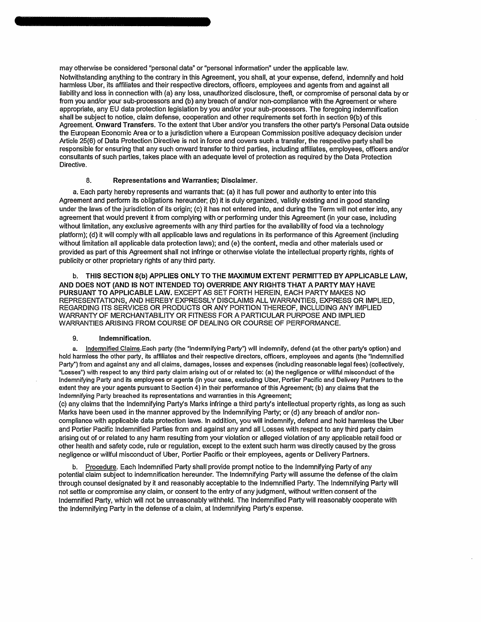may otherwise be considered "personal data" or "personal information" under the applicable law. Notwithstanding anything to the contrary in this Agreement, you shall, at your expense, defend, indemnify and hold harmless Uber, its affiliates and their respective directors, officers, employees and agents from and against all liability and loss in connection with (a) any loss, unauthorized disclosure, theft, or compromise of personal data by or from you and/or your sub-processors and (b) any breach of and/or non-compliance with the Agreement or where appropriate, any EU data protection legislation by you and/or your sub-processors. The foregoing indemnification shall be subject to notice, claim defense, cooperation and other requirements set forth in section 9(b) of this Agreement. **Onward Transfers.** To the extent that Uber and/or you transfers the other party's Personal Data outside the European Economic Area or to a jurisdiction where a European Commission positive adequacy decision under Article 25(6) of Data Protection Directive is not in force and covers such a transfer, the respective party shall be responsible for ensuring that any such onward transfer to third parties, including affiliates, employees, officers and/or consultants of such parties, takes place with an adequate level of protection as required by the Data Protection Directive.

#### **8. Representations and Warranties; Disclaimer.**

a. Each party hereby represents and warrants that: (a) it has full power and authority to enter into this Agreement and perform its obligations hereunder; (b) it is duly organized, validly existing and in good standing under the laws of the jurisdiction of its origin; (c) it has not entered into, and during the Term will not enter into, any agreement that would prevent it from complying with or performing under this Agreement (in your case, including without limitation, any exclusive agreements with any third parties for the availability of food via a technology platform); (d) it will comply with all applicable laws and regulations in its performance of this Agreement (including without limitation all applicable data protection laws); and (e) the content, media and other materials used or provided as part of this Agreement shall not infringe or otherwise violate the intellectual property rights, rights of publicity or other proprietary rights of any third party.

**b. THIS SECTION 8(b) APPLIES ONLY TO THE MAXIMUM EXTENT PERMITTED BY APPLICABLE LAW, AND DOES NOT (AND IS NOT INTENDED TO) OVERRIDE ANY RIGHTS THAT A PARTY MAY HAVE PURSUANT TO APPLICABLE LAW.** EXCEPT AS SET FORTH HEREIN, EACH PARTY MAKES NO REPRESENTATIONS, AND HEREBY EXPRESSLY DISCLAIMS ALL WARRANTIES, EXPRESS OR IMPLIED, REGARDING ITS SERVICES OR PRODUCTS OR ANY PORTION THEREOF, INCLUDING ANY IMPLIED WARRANTY OF MERCHANTABILITY OR FITNESS FOR A PARTICULAR PURPOSE AND IMPLIED WARRANTIES ARISING FROM COURSE OF DEALING OR COURSE OF PERFORMANCE.

#### **9. Indemnification.**

**a. Indemnified Claims.Each party (the "Indemnifying Party") will indemnify, defend (at the other party's option) and hold harmless the other party, its affiliates and their respective directors, officers, employees and agents (the "Indemnified Party") from and against any and all claims, damages, losses and expenses (including reasonable legal fees) (collectively, "Losses") with respect to any third party claim arising out of or related to: (a) the negligence or willful misconduct of the Indemnifying Party and its employees or agents (in your case, excluding Uber, Portier Pacific and Delivery Partners to the extent they are your agents pursuant to Section 4) in their performance of this Agreement; (b) any claims that the Indemnifying Party breached its representations and warranties in this Agreement;** 

(c) any claims that the Indemnifying Party's Marks infringe a third party's intellectual property rights, as long as such Marks have been used in the manner approved by the Indemnifying Party; or (d) any breach of and/or noncompliance with applicable data protection laws. In addition, you will indemnify, defend and hold harmless the Uber and Portier Pacific Indemnified Parties from and against any and all Losses with respect to any third party claim arising out of or related to any harm resulting from your violation or alleged violation of any applicable retail food or other health and safety code, rule or regulation, except to the extent such harm was directly caused by the gross negligence or willful misconduct of Uber, Portier Pacific or their employees, agents or Delivery Partners.

b. Procedure. Each Indemnified Party shall provide prompt notice to the Indemnifying Party of any potential claim subject to indemnification hereunder. The Indemnifying Party will assume the defense of the claim through counsel designated by it and reasonably acceptable to the Indemnified Party. The Indemnifying Party will not settle or compromise any claim, or consent to the entry of any judgment, without written consent of the Indemnified Party, which will not be unreasonably withheld. The Indemnified Party will reasonably cooperate with the Indemnifying Party in the defense of a claim, at Indemnifying Party's expense.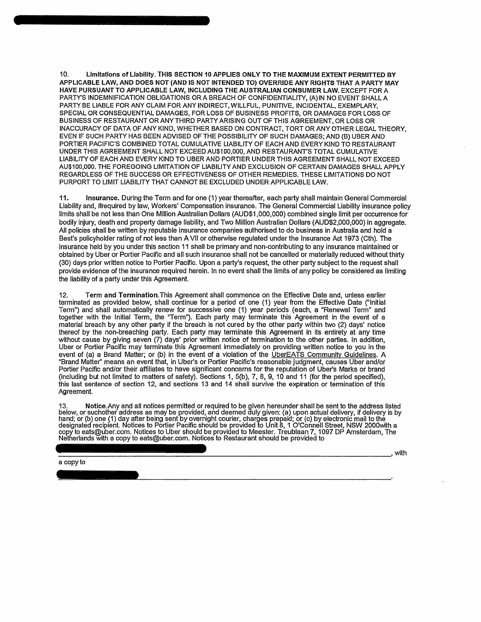**10. Limitations of Liability. THIS SECTION 10 APPLIES ONLY TO THE MAXIMUM EXTENT PERMITTED BY APPLICABLE LAW, AND DOES NOT (AND IS NOT INTENDED TO) OVERRIDE ANY RIGHTS THAT A PARTY MAY HAVE PURSUANT TO APPLICABLE LAW, INCLUDING THE AUSTRALIAN CONSUMER LAW. EXCEPT** FOR **A**  PARTY'S INDEMNIFICATION OBLIGATIONS OR A BREACH OF CONFIDENTIALITY, (A)IN NO EVENT SHALL A PARTY BE LIABLE FOR ANY CLAIM FOR ANY INDIRECT, WILLFUL, PUNITIVE, INCIDENTAL, EXEMPLARY, SPECIAL OR CONSEQUENTIAL DAMAGES, FOR LOSS OF BUSINESS PROFITS, OR DAMAGES FOR LOSS OF BUSINESS OF RESTAURANT OR ANY THIRD PARTY ARISING OUT OF THIS AGREEMENT, OR LOSS OR INACCURACY OF DATA OF ANY KIND, WHETHER BASED ON CONTRACT, TORT OR ANY OTHER LEGAL THEORY, EVEN IF SUCH PARTY HAS BEEN ADVISED OF THE POSSIBILITY OF SUCH DAMAGES; AND (B) UBER AND PORTIER PACIFIC'S COMBINED TOTAL CUMULATIVE LIABILITY OF EACH AND EVERY KIND TO RESTAURANT UNDER THIS AGREEMENT SHALL NOT EXCEED AU\$100,000, AND RESTAURANT'S TOTAL CUMULATIVE LIABILITY OF EACH AND EVERY KIND TO UBER AND PORTIER UNDER THIS AGREEMENT SHALL NOT EXCEED AU\$100,000. THE FOREGOING LIMITATION OF LIABILITY AND EXCLUSION OF CERTAIN DAMAGES SHALL APPLY REGARDLESS OF THE SUCCESS OR EFFECTIVENESS OF OTHER REMEDIES. THESE LIMITATIONS DO NOT PURPORT TO LIMIT LIABILITY THAT CANNOT BE EXCLUDED UNDER APPLICABLE LAW.

11. Insurance. During the Term and for one (1) year thereafter, each party shall maintain General Commercial Liability and, ifrequired by law, Workers' Compensation insurance. The General Commercial Liability insurance policy limits shall be not less than One Million Australian Dollars (AUD\$1,000,000) combined single limit per occurrence for bodily injury, death and property damage liability, and Two Million Australian Dollars (AUD\$2,000,000) in aggregate. All policies shall be written by reputable insurance companies authorised to do business in Australia and hold a Best's policyholder rating of not less than A VII or otherwise regulated under the Insurance Act 1973 (Cth). The insurance held by you under this section 11 shall be primary and non-contributing to any insurance maintained or obtained by Uber or Portier Pacific and all such insurance shall not be cancelled or materially reduced without thirty (30) days prior written notice to Portier Pacific. Upon a party's request, the other party subject to the request shall provide evidence of the insurance required herein. In no event shall the limits of any policy be considered as limiting the liability of a party under this Agreement.

12. Term and Termination.This Agreement shall commence on the Effective Date and, unless earlier terminated as provided below, shall continue for a period of one (1) year from the Effective Date ("Initial Term") and shall automatically renew for successive one (1) year periods (each, a "Renewal Term" and together with the Initial Term, the "Term"). Each party may terminate this Agreement in the event of a material breach by any other party if the breach is not cured by the other party within two (2) days' notice thereof by the non-breaching party. Each party may terminate this Agreement in its entirety at any time without cause by giving seven (7) days' prior written notice of termination to the other parties. In addition, Uber or Portier Pacific may terminate this Agreement immediately on providing written notice to you in the event of (a) a Brand Matter; or (b) in the event of a violation of the UberEATS Community Guidelines. A "Brand Matter" means an event that, in Uber's or Portier Pacific's reasonable judgment, causes Uber and/or Portier Pacific and/or their affiliates to have significant concerns for the reputation of Uber's Marks or brand (including but not limited to matters of safety). Sections 1, 5(b), 7, 8, 9, 10 and 11 (for the period specified), this last sentence of section 12, and sections 13 and 14 shall survive the expiration or termination of this Agreement.

13. Notice.Any and all notices permitted or required to be given hereunder shall be sent to the address listed below, or suchother address as may be provided, and deemed duly given: (a) upon actual delivery, if delivery is by<br>hand; or (b) one (1) day after being sent by overnight courier, charges prepaid; or (c) by electronic mail copy to [eats@uber.com.](mailto:eats@uber.com) Notices to Uber should be provided to Meester. Treublaan 7, 1097 DP Amsterdam, The<br>Netherlands with a copy to eats@uber.com. Notices to Restaurant should be provided to

a copy to

, with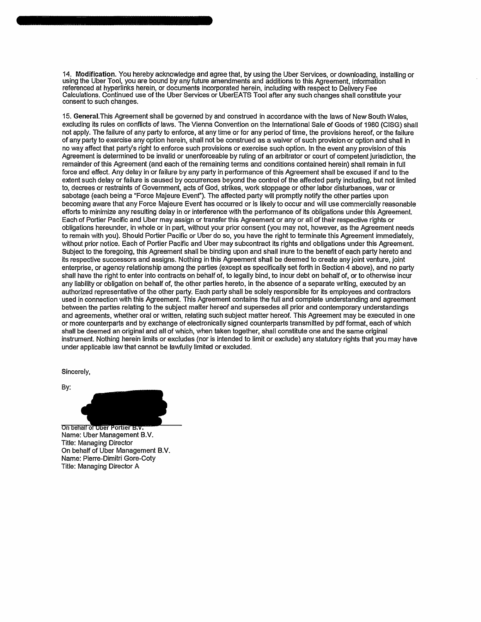14. Modification. You hereby acknowledge and agree that, by using the Uber Services, or downloading, installing or using the Uber Tool, you are bound by any future amendments and additions to this Agreement, information referenced at hyperlinks herein, or documents incorporated herein, including with respect to Delivery Fee Calculations. Continued use of the Uber Services or UberEATS Tool after any such changes shall constitute your consent to such changes.

15. General.This Agreement shall be governed by and construed in accordance with the laws of New South Wales, excluding its rules on conflicts of laws. The Vienna Convention on the International Sale of Goods of 1980 (CISG) shall not apply. The failure of any party to enforce, at any time or for any period of time, the provisions hereof, or the failure of any party to exercise any option herein, shall not be construed as a waiver of such provision or option and shall in no way affect that party's right to enforce such provisions or exercise such option. In the event any provision of this Agreement is determined to be invalid or unenforceable by ruling of an arbitrator or court of competent jurisdiction, the remainder of this Agreement (and each of the remaining terms and conditions contained herein) shall remain in full force and effect. Any delay in or failure by any party in performance of this Agreement shall be excused if and to the extent such delay or failure is caused by occurrences beyond the control of the affected party including, but not limited to, decrees or restraints of Government, acts of God, strikes, work stoppage or other labor disturbances, war or sabotage (each being a "Force Majeure Event"). The affected party will promptly notify the other parties upon becoming aware that any Force Majeure Event has occurred or is likely to occur and will use commercially reasonable efforts to minimize any resulting delay in or interference with the performance of its obligations under this Agreement. Each of Portier Pacific and Uber may assign or transfer this Agreement or any or all of their respective rights or obligations hereunder, in whole or in part, without your prior consent (you may not, however, as the Agreement needs to remain with you). Should Portier Pacific or Uber do so, you have the right to terminate this Agreement immediately, without prior notice. Each of Portier Pacific and Uber may subcontract its rights and obligations under this Agreement. Subject to the foregoing, this Agreement shall be binding upon and shall inure to the benefit of each party hereto and its respective successors and assigns. Nothing in this Agreement shall be deemed to create any joint venture, joint enterprise, or agency relationship among the parties (except as specifically set forth in Section 4 above), and no party shall have the right to enter into contracts on behalf of, to legally bind, to incur debt on behalf of, or to otherwise incur any liability or obligation on behalf of, the other parties hereto, in the absence of a separate writing, executed by an authorized representative of the other party. Each party shall be solely responsible for its employees and contractors used in connection with this Agreement. This Agreement contains the full and complete understanding and agreement between the parties relating to the subject matter hereof and supersedes all prior and contemporary understandings and agreements, whether oral or written, relating such subject matter hereof. This Agreement may be executed in one or more counterparts and by exchange of electronically signed counterparts transmitted by pdf format, each of which shall be deemed an original and all of which, when taken together, shall constitute one and the same original instrument. Nothing herein limits or excludes (nor is intended to limit or exclude) any statutory rights that you may have under applicable law that cannot be lawfully limited or excluded.

Sincerely,

By:

On behalf of Ober Portler B.v. Name: Uber Management B.V. Title: Managing Director On behalf of Uber Management B.V. Name: Pierre-Dimitri Gore-Coty Title: Managing Director A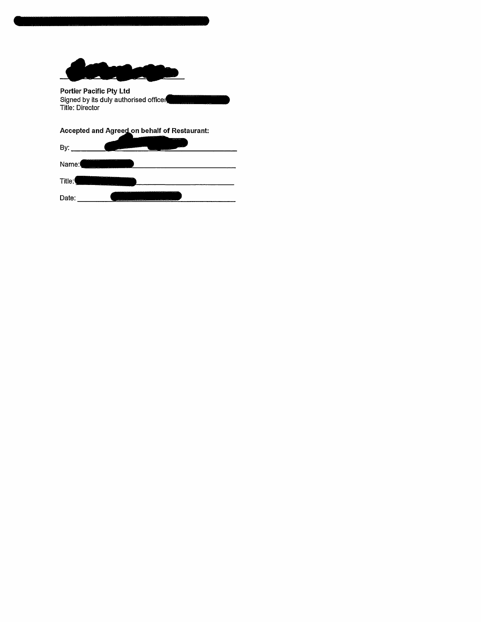

**Portier Pacific Pty Ltd**  Signed by its duly authorised officer Title: Director

Accepted and Agreed on behalf of Restaurant:

| By:                     | المسيوي<br>- |
|-------------------------|--------------|
| on some sea on<br>Name: |              |
| Title:                  |              |
| Date:                   | m<br>---     |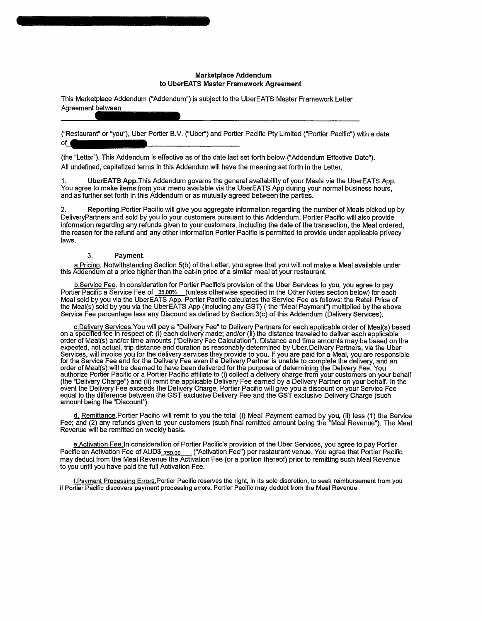### **Marketplace Addendum to UberEATS Master Framework Agreement**

This Marketplace Addendum ("Addendum") is subject to the UberEATS Master Framework Letter Agreement between

("Restaurant" or "you"), Uber Portier B.V. ("Uber") and Portier Pacific Pty Limited ("Portier Pacific") with a date of\_

(the "Letter"). This Addendum is effective as of the date last set forth below ("Addendum Effective Date"). All undefined, capitalized terms in this Addendum will have the meaning set forth in the Letter.

1**. UberEATS App**.This Addendum governs the general availability of your Meals via the UberEATS App. You agree to make items from your menu available via the UberEATS App during your normal business hours, and as further set forth in this Addendum or as mutually agreed between the parties.

2. Reporting.Portier Pacific will give you aggregate information regarding the number of Meals picked up by DeliveryPartners and sold by you to your customers pursuant to this Addendum. Portier Pacific will also provide information regarding any refunds given to your customers, including the date of the transaction, the Meal ordered, the reason for the refund and any other information Portier Pacific is permitted to provide under applicable privacy laws.

### **3. Payment.**

a.Pricing. Notwithstanding Section 5(b) of the Letter, you agree that you will not make a Meal available under this Addendum at a price higher than the eat-in price of a similar meal at your restaurant.

b.Service Fee. In consideration for Portier Pacific's provision of the Uber Services to you, you agree to pay Portier Pacific a Service Fee of 35.00% (unless otherwise specified in the Other Notes section below) for each Meal sold by you via the UberEATS App. Portier Pacific calculates the Service Fee as follows: the Retail Price of the Meal(s) sold by you via the UberEATS App (including any GST) (the "Meal Payment") multiplied by the above Service Fee percentage less any Discount as defined by Section 3(c) of this Addendum (Delivery Services).

c.Delivery Services. You will pay a "Delivery Fee" to Delivery Partners for each applicable order of Meal(s) based on a specified fee in respect of: (i) each delivery made; and/or (ii) the distance traveled to deliver each applicable order of Meal(s) and/or time amounts ("Delivery Fee Calculation"). Distance and time amounts may be based on the expected, not actual, trip distance and duration as reasonably determined by Uber.Delivery Partners, via the Uber Services, will invoice you for the delivery services they provide to you. If you are paid for a Meal, you are responsible for the Service Fee and for the Delivery Fee even if a Delivery Partner is unable to complete the delivery, and an order of Meal(s) will be deemed to have been delivered for the purpose of determining the Delivery Fee. You<br>authorize Portier Pacific or a Portier Pacific affiliate to (i) collect a delivery charge from your customers on y (the "Delivery Charge") and (ii) remit the applicable Delivery Fee earned by a Delivery Partner on your behalf. In the event the Delivery Fee exceeds the Delivery Charge, Portier Pacific will give you a discount on your Service Fee equal to the difference between the GST exclusive Delivery Fee and the GST exclusive Delivery Charge (such amount being the "Discount").

d. Remittance.Portier Pacific will remit to you the total (i) Meal Payment earned by you, (ii) less (1) the Service Fee; and (2) any refunds given to your customers (such final remitted amount being the "Meal Revenue"). The Meal Revenue will be remitted on weekly basis.

e.Activation Fee.In consideration of Portier Pacific's provision of the Uber Services, you agree to pay Portier Pacific an Activation Fee of AUD\$\_<sub>750.00</sub> ("Activation Fee") per restaurant venue. You agree that Portier Pacific may deduct from the Meal Revenue the Activation Fee (or a portion thereof) prior to remitting such Meal Revenue to you until you have paid the full Activation Fee.

**f.Pavment Processing Errors.Portier Pacific reserves the right, in its sole discretion, to seek reimbursement from you if Portier Pacific discovers payment processing errors. Portier Pacific may deduct from the Meal Revenue**